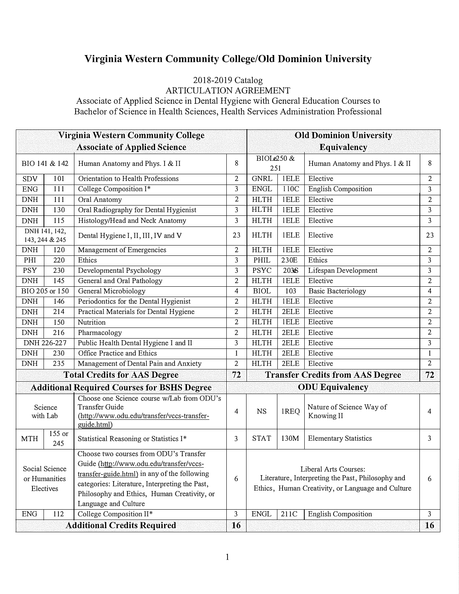## **Virginia Western Community College/Old Dominion University**

## 2018-2019 Catalog ARTICULATION AGREEMENT

Associate of Applied Science in Dental Hygiene with General Education Courses to Bachelor of Science in Health Sciences, Health Services Administration Professional

|                                                    |                | <b>Virginia Western Community College</b>                                                                                                                                                                                                                   |                | <b>Old Dominion University</b>                                                                                                  |             |                                        |                |  |
|----------------------------------------------------|----------------|-------------------------------------------------------------------------------------------------------------------------------------------------------------------------------------------------------------------------------------------------------------|----------------|---------------------------------------------------------------------------------------------------------------------------------|-------------|----------------------------------------|----------------|--|
|                                                    |                | <b>Associate of Applied Science</b>                                                                                                                                                                                                                         |                | <b>Equivalency</b>                                                                                                              |             |                                        |                |  |
| BIO 141 & 142                                      |                | Human Anatomy and Phys. I & II                                                                                                                                                                                                                              | 8              | BIOLe250 &<br>251                                                                                                               |             | Human Anatomy and Phys. I & II         | 8              |  |
| <b>SDV</b>                                         | 101            | Orientation to Health Professions                                                                                                                                                                                                                           | 2              | <b>GNRL</b>                                                                                                                     | <b>IELE</b> | Elective                               | $\overline{2}$ |  |
| <b>ENG</b>                                         | 111            | College Composition I*                                                                                                                                                                                                                                      | 3              | <b>ENGL</b>                                                                                                                     | 110C        | <b>English Composition</b>             | 3              |  |
| <b>DNH</b>                                         | 111            | Oral Anatomy                                                                                                                                                                                                                                                | $\overline{2}$ | <b>HLTH</b>                                                                                                                     | <b>IELE</b> | Elective                               | $\overline{2}$ |  |
| <b>DNH</b>                                         | 130            | Oral Radiography for Dental Hygienist                                                                                                                                                                                                                       | 3              | <b>HLTH</b>                                                                                                                     | <b>IELE</b> | Elective                               | 3              |  |
| <b>DNH</b>                                         | 115            | Histology/Head and Neck Anatomy                                                                                                                                                                                                                             | 3              | <b>HLTH</b>                                                                                                                     | <b>IELE</b> | Elective                               | 3              |  |
| DNH 141, 142,<br>143, 244 & 245                    |                | Dental Hygiene I, II, III, IV and V                                                                                                                                                                                                                         | 23             | <b>HLTH</b>                                                                                                                     | <b>IELE</b> | Elective                               | 23             |  |
| <b>DNH</b>                                         | 120            | Management of Emergencies                                                                                                                                                                                                                                   | 2              | <b>HLTH</b>                                                                                                                     | <b>IELE</b> | Elective                               | $\overline{c}$ |  |
| PHI                                                | 220            | Ethics                                                                                                                                                                                                                                                      | 3              | PHIL                                                                                                                            | 230E        | Ethics                                 | 3              |  |
| <b>PSY</b>                                         | 230            | Developmental Psychology                                                                                                                                                                                                                                    | 3              | <b>PSYC</b>                                                                                                                     | 2036        | Lifespan Development                   | 3              |  |
| <b>DNH</b>                                         | 145            | General and Oral Pathology                                                                                                                                                                                                                                  | 2              | <b>HLTH</b>                                                                                                                     | <b>IELE</b> | Elective                               | $\overline{c}$ |  |
|                                                    | BIO 205 or 150 | General Microbiology                                                                                                                                                                                                                                        | 4              | <b>BIOL</b>                                                                                                                     | 103         | <b>Basic Bacteriology</b>              | 4              |  |
| $\mathbf{DNH}$                                     | 146            | Periodontics for the Dental Hygienist                                                                                                                                                                                                                       | 2              | <b>HLTH</b>                                                                                                                     | <b>IELE</b> | Elective                               | $\overline{c}$ |  |
| $\mathbf{DNH}$                                     | 214            | Practical Materials for Dental Hygiene                                                                                                                                                                                                                      | $\overline{c}$ | <b>HLTH</b>                                                                                                                     | 2ELE        | Elective                               | $\overline{c}$ |  |
| <b>DNH</b>                                         | 150            | Nutrition                                                                                                                                                                                                                                                   | $\overline{2}$ | <b>HLTH</b>                                                                                                                     | <b>IELE</b> | Elective                               | $\overline{c}$ |  |
| <b>DNH</b>                                         | 216            | Pharmacology                                                                                                                                                                                                                                                | $\overline{2}$ | <b>HLTH</b>                                                                                                                     | 2ELE        | Elective                               | $\overline{c}$ |  |
| DNH 226-227                                        |                | Public Health Dental Hygiene I and II                                                                                                                                                                                                                       | 3              | <b>HLTH</b>                                                                                                                     | 2ELE        | Elective                               | 3              |  |
| <b>DNH</b>                                         | 230            | Office Practice and Ethics                                                                                                                                                                                                                                  | $\mathbf{1}$   | <b>HLTH</b>                                                                                                                     | 2ELE        | Elective                               | $\mathbf{1}$   |  |
| <b>DNH</b>                                         | 235            | Management of Dental Pain and Anxiety                                                                                                                                                                                                                       | 2              | <b>HLTH</b>                                                                                                                     | 2ELE        | Elective                               | $\mathbf{2}$   |  |
| <b>Total Credits for AAS Degree</b>                |                |                                                                                                                                                                                                                                                             | 72             | <b>Transfer Credits from AAS Degree</b>                                                                                         |             |                                        | 72             |  |
| <b>Additional Required Courses for BSHS Degree</b> |                |                                                                                                                                                                                                                                                             |                | <b>ODU</b> Equivalency                                                                                                          |             |                                        |                |  |
| Science<br>with Lab                                |                | Choose one Science course w/Lab from ODU's<br>Transfer Guide<br>(http://www.odu.edu/transfer/vccs-transfer-<br>guide.html)                                                                                                                                  | 4              | <b>NS</b>                                                                                                                       | IREQ        | Nature of Science Way of<br>Knowing II | 4              |  |
| <b>MTH</b>                                         | 155 or<br>245  | Statistical Reasoning or Statistics I*                                                                                                                                                                                                                      | 3              | <b>STAT</b>                                                                                                                     | 130M        | <b>Elementary Statistics</b>           | 3              |  |
| Social Science<br>or Humanities<br>Electives       |                | Choose two courses from ODU's Transfer<br>Guide (http://www.odu.edu/transfer/vccs-<br>transfer-guide.html) in any of the following<br>categories: Literature, Interpreting the Past,<br>Philosophy and Ethics, Human Creativity, or<br>Language and Culture | 6              | Liberal Arts Courses:<br>Literature, Interpreting the Past, Philosophy and<br>Ethics, Human Creativity, or Language and Culture |             |                                        | 6              |  |
| <b>ENG</b>                                         | 112            | College Composition II*                                                                                                                                                                                                                                     | 3              | <b>ENGL</b>                                                                                                                     | 211C        | <b>English Composition</b>             | 3              |  |
|                                                    |                | <b>Additional Credits Required</b>                                                                                                                                                                                                                          | 16             |                                                                                                                                 |             |                                        | <b>16</b>      |  |